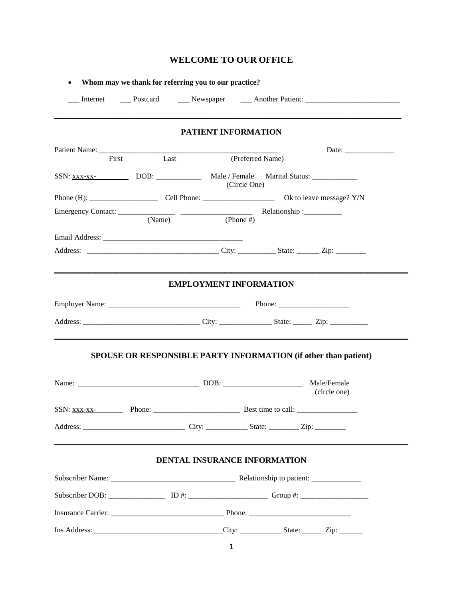# **WELCOME TO OUR OFFICE**

|                            |        | PATIENT INFORMATION           |                                                                                                      |
|----------------------------|--------|-------------------------------|------------------------------------------------------------------------------------------------------|
|                            |        |                               |                                                                                                      |
| First                      | Last   |                               | (Preferred Name)                                                                                     |
|                            |        |                               | (Circle One)                                                                                         |
|                            |        |                               |                                                                                                      |
|                            | (Name) | (Phone $#$ )                  | Relationship:                                                                                        |
|                            |        |                               |                                                                                                      |
|                            |        |                               |                                                                                                      |
|                            |        | <b>EMPLOYMENT INFORMATION</b> |                                                                                                      |
|                            |        |                               | SPOUSE OR RESPONSIBLE PARTY INFORMATION (if other than patient)<br>Male/Female                       |
|                            |        |                               | (circle one)                                                                                         |
|                            |        |                               |                                                                                                      |
| $SSN:$ $\overline{XXX-XX}$ | Phone: |                               | Best time to call:                                                                                   |
|                            |        |                               |                                                                                                      |
|                            |        |                               | DENTAL INSURANCE INFORMATION                                                                         |
|                            |        |                               |                                                                                                      |
|                            |        |                               | Subscriber DOB: ____________________ ID #: ___________________________Group #: _____________________ |
|                            |        |                               |                                                                                                      |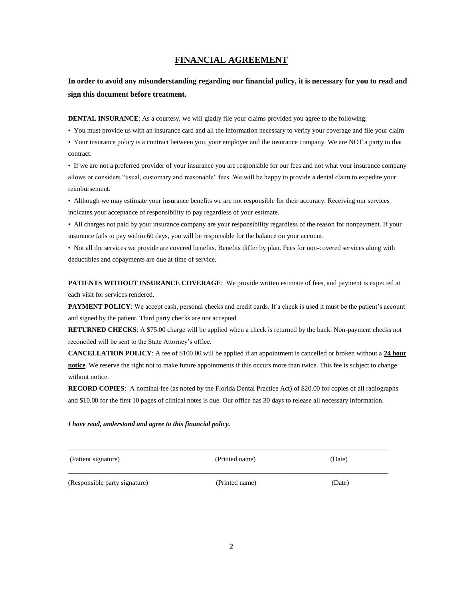# **FINANCIAL AGREEMENT**

**In order to avoid any misunderstanding regarding our financial policy, it is necessary for you to read and sign this document before treatment.**

**DENTAL INSURANCE**: As a courtesy, we will gladly file your claims provided you agree to the following:

• You must provide us with an insurance card and all the information necessary to verify your coverage and file your claim

• Your insurance policy is a contract between you, your employer and the insurance company. We are NOT a party to that contract.

• If we are not a preferred provider of your insurance you are responsible for our fees and not what your insurance company allows or considers "usual, customary and reasonable" fees. We will be happy to provide a dental claim to expedite your reimbursement.

• Although we may estimate your insurance benefits we are not responsible for their accuracy. Receiving our services indicates your acceptance of responsibility to pay regardless of your estimate.

• All charges not paid by your insurance company are your responsibility regardless of the reason for nonpayment. If your insurance fails to pay within 60 days, you will be responsible for the balance on your account.

• Not all the services we provide are covered benefits. Benefits differ by plan. Fees for non-covered services along with deductibles and copayments are due at time of service.

**PATIENTS WITHOUT INSURANCE COVERAGE**: We provide written estimate of fees, and payment is expected at each visit for services rendered.

**PAYMENT POLICY**: We accept cash, personal checks and credit cards. If a check is used it must be the patient's account and signed by the patient. Third party checks are not accepted.

**RETURNED CHECKS**: A \$75.00 charge will be applied when a check is returned by the bank. Non-payment checks not reconciled will be sent to the State Attorney's office.

**CANCELLATION POLICY**: A fee of \$100.00 will be applied if an appointment is cancelled or broken without a **24 hour notice**. We reserve the right not to make future appointments if this occurs more than twice. This fee is subject to change without notice.

**RECORD COPIES**: A nominal fee (as noted by the Florida Dental Practice Act) of \$20.00 for copies of all radiographs and \$10.00 for the first 10 pages of clinical notes is due. Our office has 30 days to release all necessary information.

#### *I have read, understand and agree to this financial policy.*

\_\_\_\_\_\_\_\_\_\_\_\_\_\_\_\_\_\_\_\_\_\_\_\_\_\_\_\_\_\_\_\_\_\_\_\_\_\_\_\_\_\_\_\_\_\_\_\_\_\_\_\_\_\_\_\_\_\_\_\_\_\_\_\_\_\_\_\_\_\_\_\_\_\_\_\_\_\_\_\_\_\_\_\_\_\_\_\_\_\_\_\_\_\_ (Patient signature) (Printed name) (Date) \_\_\_\_\_\_\_\_\_\_\_\_\_\_\_\_\_\_\_\_\_\_\_\_\_\_\_\_\_\_\_\_\_\_\_\_\_\_\_\_\_\_\_\_\_\_\_\_\_\_\_\_\_\_\_\_\_\_\_\_\_\_\_\_\_\_\_\_\_\_\_\_\_\_\_\_\_\_\_\_\_\_\_\_\_\_\_\_\_\_\_\_\_\_ (Responsible party signature) (Printed name) (Date)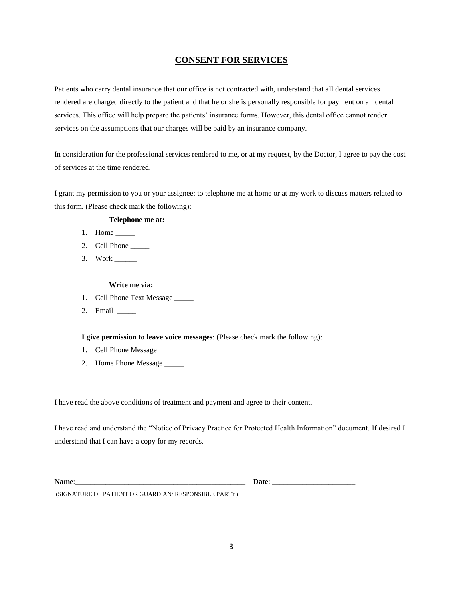# **CONSENT FOR SERVICES**

Patients who carry dental insurance that our office is not contracted with, understand that all dental services rendered are charged directly to the patient and that he or she is personally responsible for payment on all dental services. This office will help prepare the patients' insurance forms. However, this dental office cannot render services on the assumptions that our charges will be paid by an insurance company.

In consideration for the professional services rendered to me, or at my request, by the Doctor, I agree to pay the cost of services at the time rendered.

I grant my permission to you or your assignee; to telephone me at home or at my work to discuss matters related to this form. (Please check mark the following):

### **Telephone me at:**

- 1. Home \_\_\_\_\_\_
- 2. Cell Phone
- 3. Work \_\_\_\_\_\_

### **Write me via:**

- 1. Cell Phone Text Message \_\_\_\_\_
- 2. Email \_\_\_\_\_

**I give permission to leave voice messages**: (Please check mark the following):

- 1. Cell Phone Message \_\_\_\_\_
- 2. Home Phone Message

I have read the above conditions of treatment and payment and agree to their content.

I have read and understand the "Notice of Privacy Practice for Protected Health Information" document. If desired I understand that I can have a copy for my records.

**Name**:\_\_\_\_\_\_\_\_\_\_\_\_\_\_\_\_\_\_\_\_\_\_\_\_\_\_\_\_\_\_\_\_\_\_\_\_\_\_\_\_\_\_\_\_\_ **Date**: \_\_\_\_\_\_\_\_\_\_\_\_\_\_\_\_\_\_\_\_\_\_

(SIGNATURE OF PATIENT OR GUARDIAN/ RESPONSIBLE PARTY)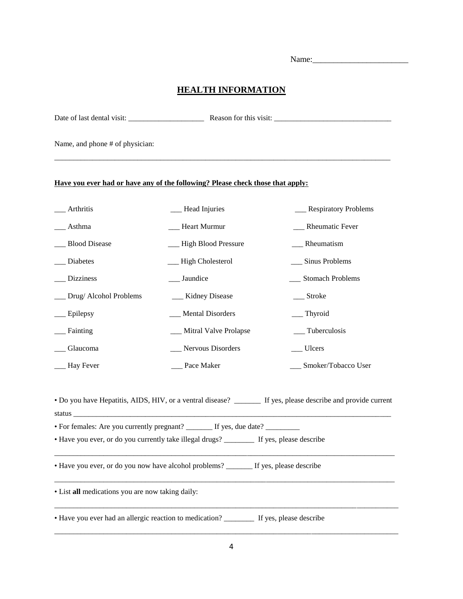Name:\_\_\_\_\_\_\_\_\_\_\_\_\_\_\_\_\_\_\_\_\_\_\_

# **HEALTH INFORMATION**

\_\_\_\_\_\_\_\_\_\_\_\_\_\_\_\_\_\_\_\_\_\_\_\_\_\_\_\_\_\_\_\_\_\_\_\_\_\_\_\_\_\_\_\_\_\_\_\_\_\_\_\_\_\_\_\_\_\_\_\_\_\_\_\_\_\_\_\_\_\_\_\_\_\_\_\_\_\_\_\_\_\_\_\_\_\_\_\_\_

Date of last dental visit: \_\_\_\_\_\_\_\_\_\_\_\_\_\_\_\_\_\_\_\_ Reason for this visit: \_\_\_\_\_\_\_\_\_\_\_\_\_\_\_\_\_\_\_\_\_\_\_\_\_\_\_\_\_\_\_

Name, and phone # of physician:

### **Have you ever had or have any of the following? Please check those that apply:**

| Arthritis                                                                                                                                                                                                                      | Head Injuries                | <b>Respiratory Problems</b>                                                                           |
|--------------------------------------------------------------------------------------------------------------------------------------------------------------------------------------------------------------------------------|------------------------------|-------------------------------------------------------------------------------------------------------|
| Asthma                                                                                                                                                                                                                         | __ Heart Murmur              | Rheumatic Fever                                                                                       |
| <b>Blood Disease</b>                                                                                                                                                                                                           | __ High Blood Pressure       | __ Rheumatism                                                                                         |
| Diabetes                                                                                                                                                                                                                       | __ High Cholesterol          | Sinus Problems                                                                                        |
| <b>Dizziness</b>                                                                                                                                                                                                               | _Jaundice                    | __ Stomach Problems                                                                                   |
| Drug/ Alcohol Problems                                                                                                                                                                                                         | __ Kidney Disease            | $\equiv$ Stroke                                                                                       |
| Epilepsy                                                                                                                                                                                                                       | <b>Mental Disorders</b>      | Thyroid                                                                                               |
| Fainting                                                                                                                                                                                                                       | <b>Mitral Valve Prolapse</b> | Tuberculosis                                                                                          |
| Glaucoma                                                                                                                                                                                                                       | Nervous Disorders            | Ulcers                                                                                                |
| Hay Fever                                                                                                                                                                                                                      | Pace Maker                   | Smoker/Tobacco User                                                                                   |
|                                                                                                                                                                                                                                |                              |                                                                                                       |
| status and the status of the status of the status of the status of the status of the status of the status of the status of the status of the status of the status of the status of the status of the status of the status of t |                              | • Do you have Hepatitis, AIDS, HIV, or a ventral disease? If yes, please describe and provide current |
| • For females: Are you currently pregnant? ________ If yes, due date? __________                                                                                                                                               |                              |                                                                                                       |
| • Have you ever, or do you currently take illegal drugs? ________ If yes, please describe                                                                                                                                      |                              |                                                                                                       |
| • Have you ever, or do you now have alcohol problems? ________ If yes, please describe                                                                                                                                         |                              |                                                                                                       |
| • List all medications you are now taking daily:                                                                                                                                                                               |                              |                                                                                                       |
| • Have you ever had an allergic reaction to medication? _________ If yes, please describe                                                                                                                                      |                              |                                                                                                       |

\_\_\_\_\_\_\_\_\_\_\_\_\_\_\_\_\_\_\_\_\_\_\_\_\_\_\_\_\_\_\_\_\_\_\_\_\_\_\_\_\_\_\_\_\_\_\_\_\_\_\_\_\_\_\_\_\_\_\_\_\_\_\_\_\_\_\_\_\_\_\_\_\_\_\_\_\_\_\_\_\_\_\_\_\_\_\_\_\_\_\_